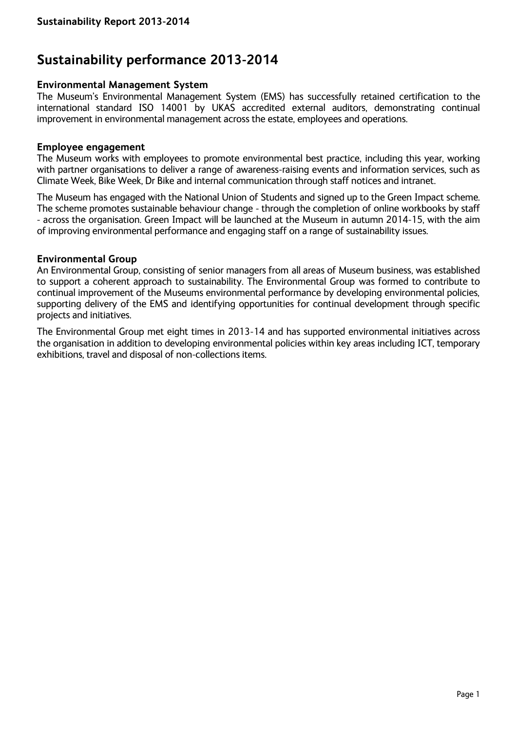# **Sustainability performance 2013-2014**

### **Environmental Management System**

The Museum's Environmental Management System (EMS) has successfully retained certification to the international standard ISO 14001 by UKAS accredited external auditors, demonstrating continual improvement in environmental management across the estate, employees and operations.

#### **Employee engagement**

The Museum works with employees to promote environmental best practice, including this year, working with partner organisations to deliver a range of awareness-raising events and information services, such as Climate Week, Bike Week, Dr Bike and internal communication through staff notices and intranet.

The Museum has engaged with the National Union of Students and signed up to the Green Impact scheme. The scheme promotes sustainable behaviour change - through the completion of online workbooks by staff - across the organisation. Green Impact will be launched at the Museum in autumn 2014-15, with the aim of improving environmental performance and engaging staff on a range of sustainability issues.

### **Environmental Group**

An Environmental Group, consisting of senior managers from all areas of Museum business, was established to support a coherent approach to sustainability. The Environmental Group was formed to contribute to continual improvement of the Museums environmental performance by developing environmental policies, supporting delivery of the EMS and identifying opportunities for continual development through specific projects and initiatives.

The Environmental Group met eight times in 2013-14 and has supported environmental initiatives across the organisation in addition to developing environmental policies within key areas including ICT, temporary exhibitions, travel and disposal of non-collections items.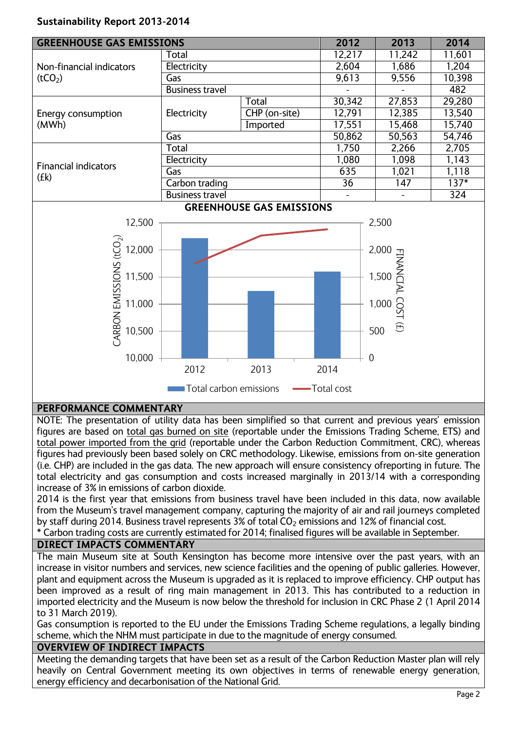# **Sustainability Report 2013-2014**

| <b>GREENHOUSE GAS EMISSIONS</b>                 |                        |                                 | 2012           | 2013   | 2014   |
|-------------------------------------------------|------------------------|---------------------------------|----------------|--------|--------|
| Non-financial indicators<br>(tCO <sub>2</sub> ) | Total                  |                                 | 12,217         | 11,242 | 11,601 |
|                                                 | Electricity            |                                 | 2,604          | 1,686  | 1,204  |
|                                                 | Gas                    |                                 | 9,613          | 9.556  | 10,398 |
|                                                 | <b>Business travel</b> |                                 |                |        | 482    |
|                                                 | Electricity            | <b>Total</b>                    | 30,342         | 27,853 | 29,280 |
| Energy consumption<br>(MWh)                     |                        | CHP (on-site)                   | 12,791         | 12,385 | 13,540 |
|                                                 |                        | Imported                        | 17,551         | 15,468 | 15,740 |
|                                                 | Gas                    |                                 | 50,862         | 50,563 | 54,746 |
|                                                 | Total                  |                                 | 1,750<br>2,266 | 2,705  |        |
| <b>Financial indicators</b><br>(Ek)             | Electricity            |                                 | 1,080          | 1,098  | 1,143  |
|                                                 | Gas                    |                                 | 635            | 1,021  | 1,118  |
|                                                 | Carbon trading         |                                 | 36             | 147    | $137*$ |
|                                                 | <b>Business travel</b> |                                 |                |        | 324    |
|                                                 |                        | <b>GREENHOUSE GAS EMISSIONS</b> |                |        |        |



## **PERFORMANCE COMMENTARY**

NOTE: The presentation of utility data has been simplified so that current and previous years' emission figures are based on total gas burned on site (reportable under the Emissions Trading Scheme, ETS) and total power imported from the grid (reportable under the Carbon Reduction Commitment, CRC), whereas figures had previously been based solely on CRC methodology. Likewise, emissions from on-site generation (i.e. CHP) are included in the gas data. The new approach will ensure consistency ofreporting in future. The total electricity and gas consumption and costs increased marginally in 2013/14 with a corresponding increase of 3% in emissions of carbon dioxide.

2014 is the first year that emissions from business travel have been included in this data, now available from the Museum's travel management company, capturing the majority of air and rail journeys completed by staff during 2014. Business travel represents 3% of total  $CO<sub>2</sub>$  emissions and 12% of financial cost.

\* Carbon trading costs are currently estimated for 2014; finalised figures will be available in September.

## **DIRECT IMPACTS COMMENTARY**

The main Museum site at South Kensington has become more intensive over the past years, with an increase in visitor numbers and services, new science facilities and the opening of public galleries. However, plant and equipment across the Museum is upgraded as it is replaced to improve efficiency. CHP output has been improved as a result of ring main management in 2013. This has contributed to a reduction in imported electricity and the Museum is now below the threshold for inclusion in CRC Phase 2 (1 April 2014 to 31 March 2019).

Gas consumption is reported to the EU under the Emissions Trading Scheme regulations, a legally binding scheme, which the NHM must participate in due to the magnitude of energy consumed.

## **OVERVIEW OF INDIRECT IMPACTS**

Meeting the demanding targets that have been set as a result of the Carbon Reduction Master plan will rely heavily on Central Government meeting its own objectives in terms of renewable energy generation, energy efficiency and decarbonisation of the National Grid.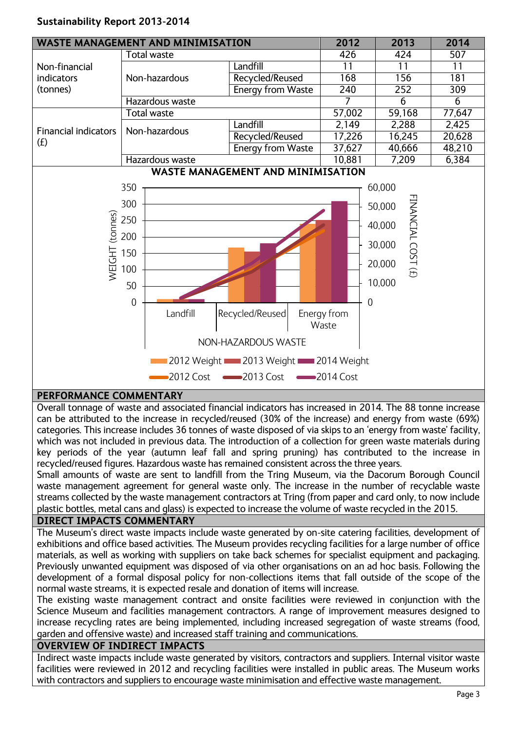# **Sustainability Report 2013-2014**



# **PERFORMANCE COMMENTARY**

Overall tonnage of waste and associated financial indicators has increased in 2014. The 88 tonne increase can be attributed to the increase in recycled/reused (30% of the increase) and energy from waste (69%) categories. This increase includes 36 tonnes of waste disposed of via skips to an 'energy from waste' facility, which was not included in previous data. The introduction of a collection for green waste materials during key periods of the year (autumn leaf fall and spring pruning) has contributed to the increase in recycled/reused figures. Hazardous waste has remained consistent across the three years.

Small amounts of waste are sent to landfill from the Tring Museum, via the Dacorum Borough Council waste management agreement for general waste only. The increase in the number of recyclable waste streams collected by the waste management contractors at Tring (from paper and card only, to now include plastic bottles, metal cans and glass) is expected to increase the volume of waste recycled in the 2015.

# **DIRECT IMPACTS COMMENTARY**

The Museum's direct waste impacts include waste generated by on-site catering facilities, development of exhibitions and office based activities. The Museum provides recycling facilities for a large number of office materials, as well as working with suppliers on take back schemes for specialist equipment and packaging. Previously unwanted equipment was disposed of via other organisations on an ad hoc basis. Following the development of a formal disposal policy for non-collections items that fall outside of the scope of the normal waste streams, it is expected resale and donation of items will increase.

The existing waste management contract and onsite facilities were reviewed in conjunction with the Science Museum and facilities management contractors. A range of improvement measures designed to increase recycling rates are being implemented, including increased segregation of waste streams (food, garden and offensive waste) and increased staff training and communications.

#### **OVERVIEW OF INDIRECT IMPACTS**

Indirect waste impacts include waste generated by visitors, contractors and suppliers. Internal visitor waste facilities were reviewed in 2012 and recycling facilities were installed in public areas. The Museum works with contractors and suppliers to encourage waste minimisation and effective waste management.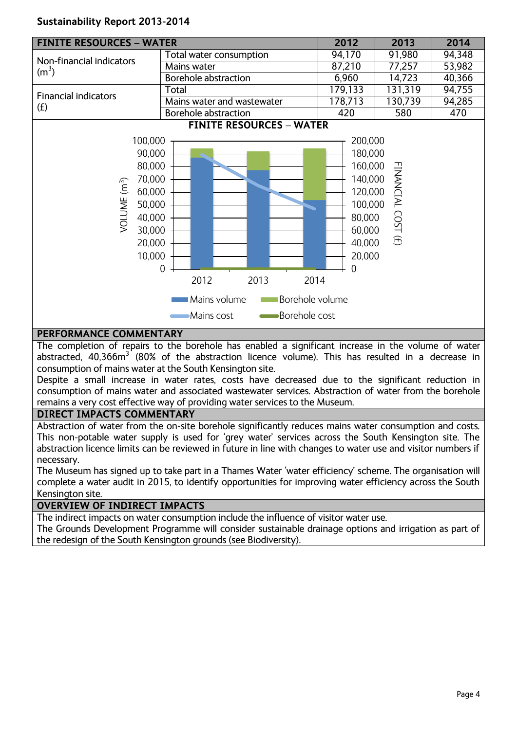## **Sustainability Report 2013-2014**



### **PERFORMANCE COMMENTARY**

The completion of repairs to the borehole has enabled a significant increase in the volume of water abstracted, 40,366m<sup>3</sup> (80% of the abstraction licence volume). This has resulted in a decrease in consumption of mains water at the South Kensington site.

Despite a small increase in water rates, costs have decreased due to the significant reduction in consumption of mains water and associated wastewater services. Abstraction of water from the borehole remains a very cost effective way of providing water services to the Museum.

### **DIRECT IMPACTS COMMENTARY**

Abstraction of water from the on-site borehole significantly reduces mains water consumption and costs. This non-potable water supply is used for 'grey water' services across the South Kensington site. The abstraction licence limits can be reviewed in future in line with changes to water use and visitor numbers if necessary.

The Museum has signed up to take part in a Thames Water 'water efficiency' scheme. The organisation will complete a water audit in 2015, to identify opportunities for improving water efficiency across the South Kensington site.

### **OVERVIEW OF INDIRECT IMPACTS**

The indirect impacts on water consumption include the influence of visitor water use. The Grounds Development Programme will consider sustainable drainage options and irrigation as part of the redesign of the South Kensington grounds (see Biodiversity).